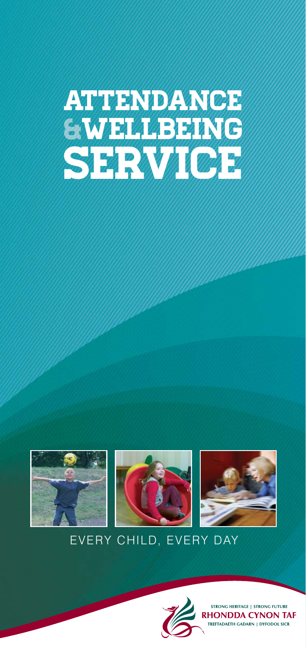# Attendance Wellbeing **SERVICE**







# EVERY CHILD, EVERY DAY



STRONG HERITAGE | STRONG FUTURE **RHONDDA CYNON TAF** REFTADAETH GADARN | DYFODOL SICR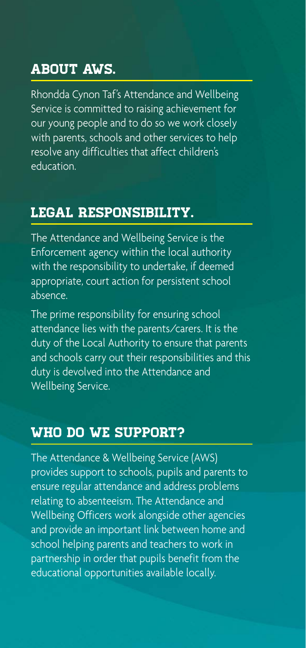## About AWS.

Rhondda Cynon Taf's Attendance and Wellbeing Service is committed to raising achievement for our young people and to do so we work closely with parents, schools and other services to help resolve any difficulties that affect children's education.

### Legal Responsibility.

The Attendance and Wellbeing Service is the Enforcement agency within the local authority with the responsibility to undertake, if deemed appropriate, court action for persistent school absence.

The prime responsibility for ensuring school attendance lies with the parents/carers. It is the duty of the Local Authority to ensure that parents and schools carry out their responsibilities and this duty is devolved into the Attendance and Wellbeing Service.

#### Who do we support?

The Attendance & Wellbeing Service (AWS) provides support to schools, pupils and parents to ensure regular attendance and address problems relating to absenteeism. The Attendance and Wellbeing Officers work alongside other agencies and provide an important link between home and school helping parents and teachers to work in partnership in order that pupils benefit from the educational opportunities available locally.